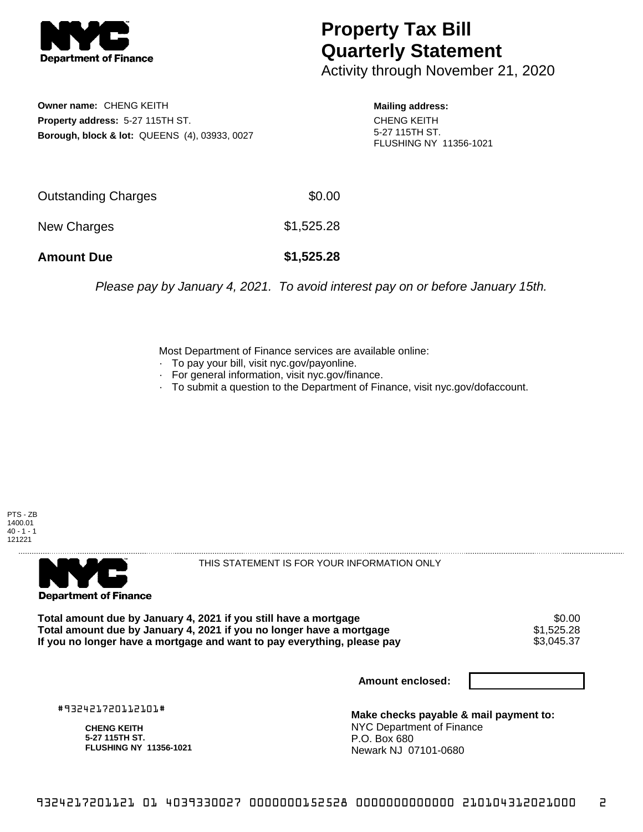

## **Property Tax Bill Quarterly Statement**

Activity through November 21, 2020

**Owner name:** CHENG KEITH **Property address:** 5-27 115TH ST. **Borough, block & lot:** QUEENS (4), 03933, 0027

**Mailing address:** CHENG KEITH 5-27 115TH ST. FLUSHING NY 11356-1021

| <b>Amount Due</b>   | \$1,525.28 |
|---------------------|------------|
| New Charges         | \$1,525.28 |
| Outstanding Charges | \$0.00     |

Please pay by January 4, 2021. To avoid interest pay on or before January 15th.

Most Department of Finance services are available online:

- · To pay your bill, visit nyc.gov/payonline.
- For general information, visit nyc.gov/finance.
- · To submit a question to the Department of Finance, visit nyc.gov/dofaccount.





THIS STATEMENT IS FOR YOUR INFORMATION ONLY

Total amount due by January 4, 2021 if you still have a mortgage  $$0.00$ <br>Total amount due by January 4, 2021 if you no longer have a mortgage  $$1,525.28$ **Total amount due by January 4, 2021 if you no longer have a mortgage**  $$1,525.28$ **<br>If you no longer have a mortgage and want to pay everything, please pay**  $$3,045.37$ If you no longer have a mortgage and want to pay everything, please pay

**Amount enclosed:**

#932421720112101#

**CHENG KEITH 5-27 115TH ST. FLUSHING NY 11356-1021**

**Make checks payable & mail payment to:** NYC Department of Finance P.O. Box 680 Newark NJ 07101-0680